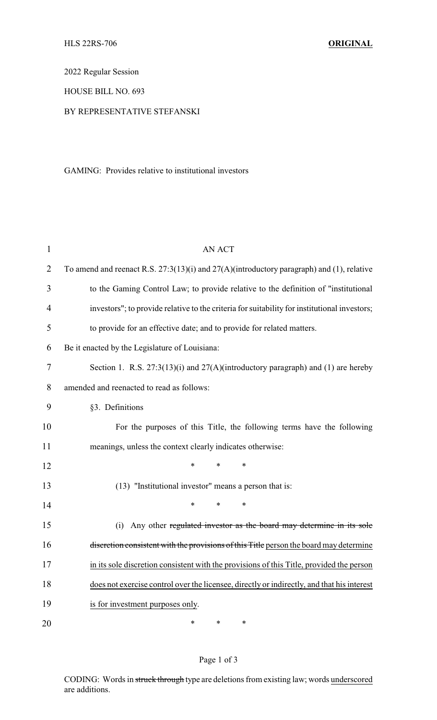2022 Regular Session

HOUSE BILL NO. 693

## BY REPRESENTATIVE STEFANSKI

GAMING: Provides relative to institutional investors

| 1              | <b>AN ACT</b>                                                                                 |
|----------------|-----------------------------------------------------------------------------------------------|
| $\overline{2}$ | To amend and reenact R.S. $27:3(13)(i)$ and $27(A)(introductory paragraph)$ and (1), relative |
| 3              | to the Gaming Control Law; to provide relative to the definition of "institutional"           |
| 4              | investors"; to provide relative to the criteria for suitability for institutional investors;  |
| 5              | to provide for an effective date; and to provide for related matters.                         |
| 6              | Be it enacted by the Legislature of Louisiana:                                                |
| 7              | Section 1. R.S. $27:3(13)(i)$ and $27(A)(introductory paragraph)$ and (1) are hereby          |
| 8              | amended and reenacted to read as follows:                                                     |
| 9              | §3. Definitions                                                                               |
| 10             | For the purposes of this Title, the following terms have the following                        |
| 11             | meanings, unless the context clearly indicates otherwise:                                     |
| 12             | $\ast$<br>*<br>$\ast$                                                                         |
| 13             | (13) "Institutional investor" means a person that is:                                         |
| 14             | $\ast$<br>*<br>$\ast$                                                                         |
| 15             | (i) Any other regulated investor as the board may determine in its sole                       |
| 16             | discretion consistent with the provisions of this Title person the board may determine        |
| 17             | in its sole discretion consistent with the provisions of this Title, provided the person      |
| 18             | does not exercise control over the licensee, directly or indirectly, and that his interest    |
| 19             | is for investment purposes only.                                                              |
| 20             | $\ast$<br>*<br>*                                                                              |

## Page 1 of 3

CODING: Words in struck through type are deletions from existing law; words underscored are additions.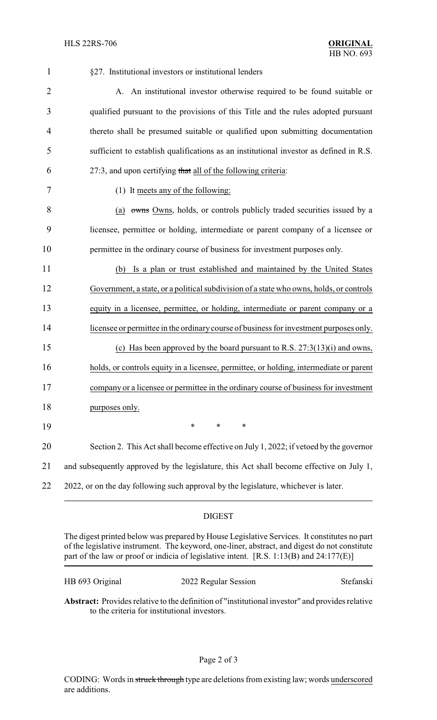| $\mathbf{1}$   | §27. Institutional investors or institutional lenders                                    |
|----------------|------------------------------------------------------------------------------------------|
| $\overline{2}$ | A. An institutional investor otherwise required to be found suitable or                  |
| 3              | qualified pursuant to the provisions of this Title and the rules adopted pursuant        |
| 4              | thereto shall be presumed suitable or qualified upon submitting documentation            |
| 5              | sufficient to establish qualifications as an institutional investor as defined in R.S.   |
| 6              | 27:3, and upon certifying that all of the following criteria:                            |
| 7              | (1) It meets any of the following:                                                       |
| 8              | (a) owns Owns, holds, or controls publicly traded securities issued by a                 |
| 9              | licensee, permittee or holding, intermediate or parent company of a licensee or          |
| 10             | permittee in the ordinary course of business for investment purposes only.               |
| 11             | Is a plan or trust established and maintained by the United States<br>(b)                |
| 12             | Government, a state, or a political subdivision of a state who owns, holds, or controls  |
| 13             | equity in a licensee, permittee, or holding, intermediate or parent company or a         |
| 14             | licensee or permittee in the ordinary course of business for investment purposes only.   |
| 15             | (c) Has been approved by the board pursuant to R.S. $27:3(13)(i)$ and owns,              |
| 16             | holds, or controls equity in a licensee, permittee, or holding, intermediate or parent   |
| 17             | company or a licensee or permittee in the ordinary course of business for investment     |
| 18             | purposes only.                                                                           |
| 19             | ∗<br>*<br>*                                                                              |
| 20             | Section 2. This Act shall become effective on July 1, 2022; if vetoed by the governor    |
| 21             | and subsequently approved by the legislature, this Act shall become effective on July 1, |
| 22             | 2022, or on the day following such approval by the legislature, whichever is later.      |
|                |                                                                                          |

## DIGEST

The digest printed below was prepared by House Legislative Services. It constitutes no part of the legislative instrument. The keyword, one-liner, abstract, and digest do not constitute part of the law or proof or indicia of legislative intent. [R.S. 1:13(B) and 24:177(E)]

HB 693 Original 2022 Regular Session Stefanski

**Abstract:** Provides relative to the definition of "institutional investor" and provides relative to the criteria for institutional investors.